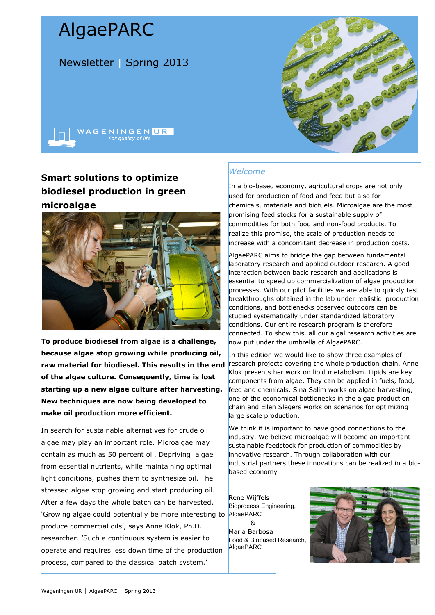# AlgaePARC

Newsletter | Spring 2013



# **Smart solutions to optimize biodiesel production in green microalgae**



**To produce biodiesel from algae is a challenge, because algae stop growing while producing oil, raw material for biodiesel. This results in the end of the algae culture. Consequently, time is lost starting up a new algae culture after harvesting. New techniques are now being developed to make oil production more efficient.** 

In search for sustainable alternatives for crude oil algae may play an important role. Microalgae may contain as much as 50 percent oil. Depriving algae from essential nutrients, while maintaining optimal light conditions, pushes them to synthesize oil. The stressed algae stop growing and start producing oil. After a few days the whole batch can be harvested. 'Growing algae could potentially be more interesting to produce commercial oils', says Anne Klok, Ph.D. researcher. 'Such a continuous system is easier to operate and requires less down time of the production process, compared to the classical batch system.'

## *Welcome*

In a bio-based economy, agricultural crops are not only used for production of food and feed but also for chemicals, materials and biofuels. Microalgae are the most promising feed stocks for a sustainable supply of commodities for both food and non-food products. To realize this promise, the scale of production needs to increase with a concomitant decrease in production costs.

AlgaePARC aims to bridge the gap between fundamental laboratory research and applied outdoor research. A good interaction between basic research and applications is essential to speed up commercialization of algae production processes. With our pilot facilities we are able to quickly test breakthroughs obtained in the lab under realistic production conditions, and bottlenecks observed outdoors can be studied systematically under standardized laboratory conditions. Our entire research program is therefore connected. To show this, all our algal research activities are now put under the umbrella of AlgaePARC.

In this edition we would like to show three examples of research projects covering the whole production chain. Anne Klok presents her work on lipid metabolism. Lipids are key components from algae. They can be applied in fuels, food, feed and chemicals. Sina Salim works on algae harvesting, one of the economical bottlenecks in the algae production chain and Ellen Slegers works on scenarios for optimizing large scale production.

We think it is important to have good connections to the industry. We believe microalgae will become an important sustainable feedstock for production of commodities by innovative research. Through collaboration with our industrial partners these innovations can be realized in a biobased economy

Rene Wijffels Bioprocess Engineering, AlgaePARC &

Maria Barbosa Food & Biobased Research, AlgaePARC

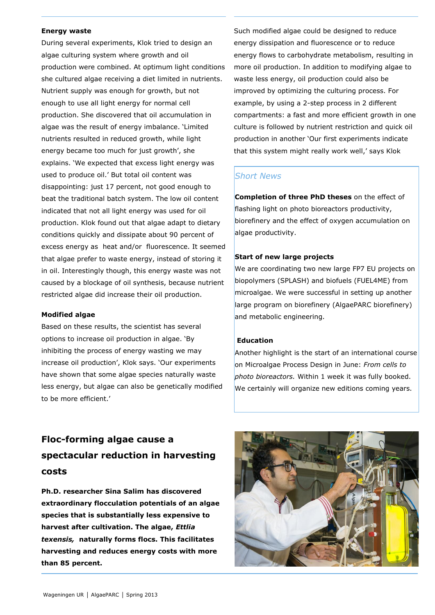### **Energy waste**

During several experiments, Klok tried to design an algae culturing system where growth and oil production were combined. At optimum light conditions she cultured algae receiving a diet limited in nutrients. Nutrient supply was enough for growth, but not enough to use all light energy for normal cell production. She discovered that oil accumulation in algae was the result of energy imbalance. 'Limited nutrients resulted in reduced growth, while light energy became too much for just growth', she explains. 'We expected that excess light energy was used to produce oil.' But total oil content was disappointing: just 17 percent, not good enough to beat the traditional batch system. The low oil content indicated that not all light energy was used for oil production. Klok found out that algae adapt to dietary conditions quickly and dissipate about 90 percent of excess energy as heat and/or fluorescence. It seemed that algae prefer to waste energy, instead of storing it in oil. Interestingly though, this energy waste was not caused by a blockage of oil synthesis, because nutrient restricted algae did increase their oil production.

#### **Modified algae**

Based on these results, the scientist has several options to increase oil production in algae. 'By inhibiting the process of energy wasting we may increase oil production', Klok says. 'Our experiments have shown that some algae species naturally waste less energy, but algae can also be genetically modified to be more efficient.'

Such modified algae could be designed to reduce energy dissipation and fluorescence or to reduce energy flows to carbohydrate metabolism, resulting in more oil production. In addition to modifying algae to waste less energy, oil production could also be improved by optimizing the culturing process. For example, by using a 2-step process in 2 different compartments: a fast and more efficient growth in one culture is followed by nutrient restriction and quick oil production in another 'Our first experiments indicate that this system might really work well,' says Klok

### *Short News*

**Completion of three PhD theses** on the effect of flashing light on photo bioreactors productivity, biorefinery and the effect of oxygen accumulation on algae productivity.

### **Start of new large projects**

We are coordinating two new large FP7 EU projects on biopolymers (SPLASH) and biofuels (FUEL4ME) from microalgae. We were successful in setting up another large program on biorefinery (AlgaePARC biorefinery) and metabolic engineering.

### **Education**

Another highlight is the start of an international course on Microalgae Process Design in June: *From cells to photo bioreactors.* Within 1 week it was fully booked. We certainly will organize new editions coming years.

# **Floc-forming algae cause a spectacular reduction in harvesting costs**

**Ph.D. researcher Sina Salim has discovered extraordinary flocculation potentials of an algae species that is substantially less expensive to harvest after cultivation. The algae,** *Ettlia texensis,* **naturally forms flocs. This facilitates harvesting and reduces energy costs with more than 85 percent.** 

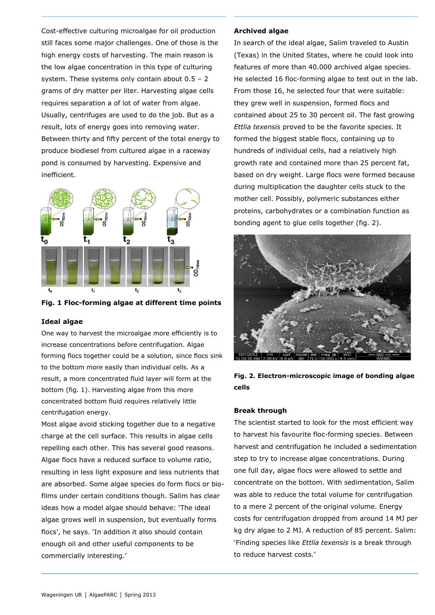Cost-effective culturing microalgae for oil production still faces some major challenges. One of those is the high energy costs of harvesting. The main reason is the low algae concentration in this type of culturing system. These systems only contain about  $0.5 - 2$ grams of dry matter per liter. Harvesting algae cells requires separation a of lot of water from algae. Usually, centrifuges are used to do the job. But as a result, lots of energy goes into removing water. Between thirty and fifty percent of the total energy to produce biodiesel from cultured algae in a raceway pond is consumed by harvesting. Expensive and inefficient.



**Fig. 1 Floc-forming algae at different time points**

### **Ideal algae**

One way to harvest the microalgae more efficiently is to increase concentrations before centrifugation. Algae forming flocs together could be a solution, since flocs sink to the bottom more easily than individual cells. As a result, a more concentrated fluid layer will form at the bottom (fig. 1). Harvesting algae from this more concentrated bottom fluid requires relatively little centrifugation energy.

Most algae avoid sticking together due to a negative charge at the cell surface. This results in algae cells repelling each other. This has several good reasons. Algae flocs have a reduced surface to volume ratio, resulting in less light exposure and less nutrients that are absorbed. Some algae species do form flocs or biofilms under certain conditions though. Salim has clear ideas how a model algae should behave: 'The ideal algae grows well in suspension, but eventually forms flocs', he says. 'In addition it also should contain enough oil and other useful components to be commercially interesting.'

#### **Archived algae**

In search of the ideal algae, Salim traveled to Austin (Texas) in the United States, where he could look into features of more than 40.000 archived algae species. He selected 16 floc-forming algae to test out in the lab. From those 16, he selected four that were suitable: they grew well in suspension, formed flocs and contained about 25 to 30 percent oil. The fast growing *Ettlia texensis* proved to be the favorite species. It formed the biggest stable flocs, containing up to hundreds of individual cells, had a relatively high growth rate and contained more than 25 percent fat, based on dry weight. Large flocs were formed because during multiplication the daughter cells stuck to the mother cell. Possibly, polymeric substances either proteins, carbohydrates or a combination function as bonding agent to glue cells together (fig. 2).



**Fig. 2. Electron-microscopic image of bonding algae cells**

### **Break through**

The scientist started to look for the most efficient way to harvest his favourite floc-forming species. Between harvest and centrifugation he included a sedimentation step to try to increase algae concentrations. During one full day, algae flocs were allowed to settle and concentrate on the bottom. With sedimentation, Salim was able to reduce the total volume for centrifugation to a mere 2 percent of the original volume. Energy costs for centrifugation dropped from around 14 MJ per kg dry algae to 2 MJ. A reduction of 85 percent. Salim: 'Finding species like *Ettlia texensis* is a break through to reduce harvest costs.'